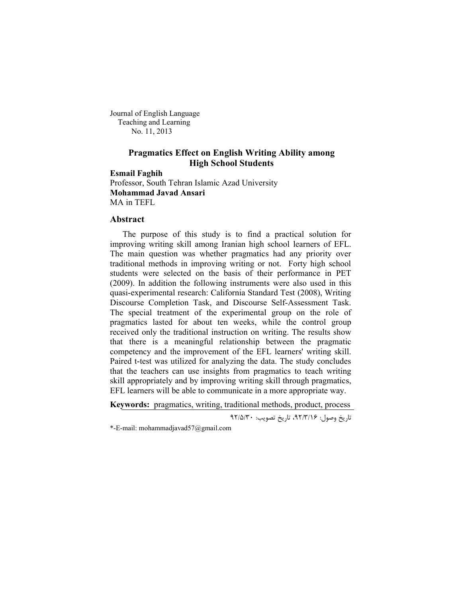Journal of English Language Teaching and Learning No. 11, 2013

# **Pragmatics Effect on English Writing Ability among High School Students**

**Esmail Faghih** Professor, South Tehran Islamic Azad University **Mohammad Javad Ansari** MA in TEFL

# **Abstract**

The purpose of this study is to find a practical solution for improving writing skill among Iranian high school learners of EFL. The main question was whether pragmatics had any priority over traditional methods in improving writing or not. Forty high school students were selected on the basis of their performance in PET (2009). In addition the following instruments were also used in this quasi-experimental research: California Standard Test (2008), Writing Discourse Completion Task, and Discourse Self-Assessment Task. The special treatment of the experimental group on the role of pragmatics lasted for about ten weeks, while the control group received only the traditional instruction on writing. The results show that there is a meaningful relationship between the pragmatic competency and the improvement of the EFL learners' writing skill. Paired t-test was utilized for analyzing the data. The study concludes that the teachers can use insights from pragmatics to teach writing skill appropriately and by improving writing skill through pragmatics, EFL learners will be able to communicate in a more appropriate way.

**Keywords:** pragmatics, writing, traditional methods, product, process

تاریخ وصول: 9٢/٣/١۶، تاریخ تصویب: ٩٢/۵/٣٠

\*-E-mail: mohammadjavad57@gmail.com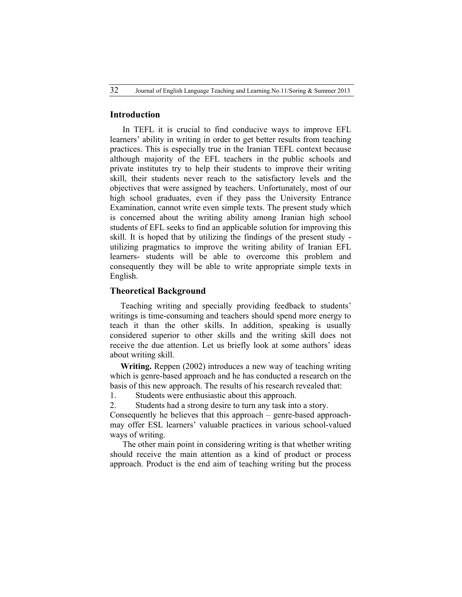#### **Introduction**

In TEFL it is crucial to find conducive ways to improve EFL learners' ability in writing in order to get better results from teaching practices. This is especially true in the Iranian TEFL context because although majority of the EFL teachers in the public schools and private institutes try to help their students to improve their writing skill, their students never reach to the satisfactory levels and the objectives that were assigned by teachers. Unfortunately, most of our high school graduates, even if they pass the University Entrance Examination, cannot write even simple texts. The present study which is concerned about the writing ability among Iranian high school students of EFL seeks to find an applicable solution for improving this skill. It is hoped that by utilizing the findings of the present study utilizing pragmatics to improve the writing ability of Iranian EFL learners- students will be able to overcome this problem and consequently they will be able to write appropriate simple texts in English.

### **Theoretical Background**

 Teaching writing and specially providing feedback to students' writings is time-consuming and teachers should spend more energy to teach it than the other skills. In addition, speaking is usually considered superior to other skills and the writing skill does not receive the due attention. Let us briefly look at some authors' ideas about writing skill.

 **Writing.** Reppen (2002) introduces a new way of teaching writing which is genre-based approach and he has conducted a research on the basis of this new approach. The results of his research revealed that:

1. Students were enthusiastic about this approach.

2. Students had a strong desire to turn any task into a story.

Consequently he believes that this approach – genre-based approachmay offer ESL learners' valuable practices in various school-valued ways of writing.

The other main point in considering writing is that whether writing should receive the main attention as a kind of product or process approach. Product is the end aim of teaching writing but the process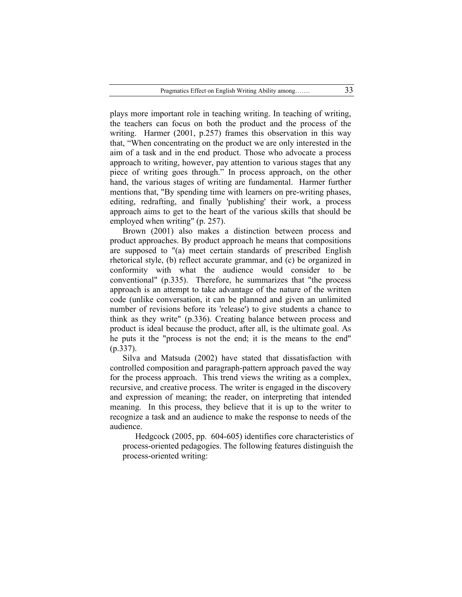plays more important role in teaching writing. In teaching of writing, the teachers can focus on both the product and the process of the writing. Harmer (2001, p.257) frames this observation in this way that, "When concentrating on the product we are only interested in the aim of a task and in the end product. Those who advocate a process approach to writing, however, pay attention to various stages that any piece of writing goes through." In process approach, on the other hand, the various stages of writing are fundamental. Harmer further mentions that, "By spending time with learners on pre-writing phases, editing, redrafting, and finally 'publishing' their work, a process approach aims to get to the heart of the various skills that should be employed when writing" (p. 257).

Brown (2001) also makes a distinction between process and product approaches. By product approach he means that compositions are supposed to "(a) meet certain standards of prescribed English rhetorical style, (b) reflect accurate grammar, and (c) be organized in conformity with what the audience would consider to be conventional" (p.335). Therefore, he summarizes that "the process approach is an attempt to take advantage of the nature of the written code (unlike conversation, it can be planned and given an unlimited number of revisions before its 'release') to give students a chance to think as they write" (p.336). Creating balance between process and product is ideal because the product, after all, is the ultimate goal. As he puts it the "process is not the end; it is the means to the end" (p.337).

Silva and Matsuda (2002) have stated that dissatisfaction with controlled composition and paragraph-pattern approach paved the way for the process approach. This trend views the writing as a complex, recursive, and creative process. The writer is engaged in the discovery and expression of meaning; the reader, on interpreting that intended meaning. In this process, they believe that it is up to the writer to recognize a task and an audience to make the response to needs of the audience.

Hedgcock (2005, pp. 604-605) identifies core characteristics of process-oriented pedagogies. The following features distinguish the process-oriented writing: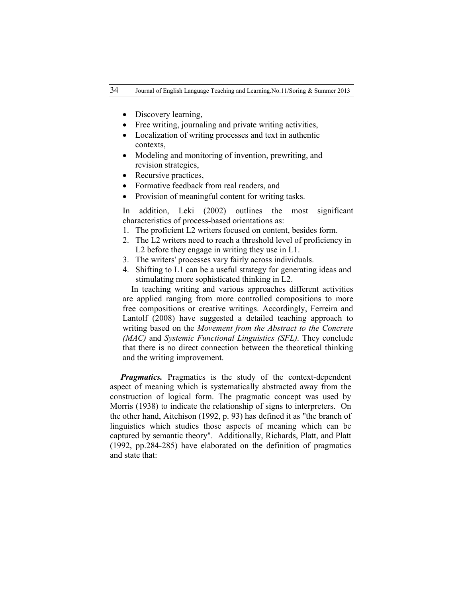- Discovery learning,
- Free writing, journaling and private writing activities,
- Localization of writing processes and text in authentic contexts,
- Modeling and monitoring of invention, prewriting, and revision strategies,
- Recursive practices,
- Formative feedback from real readers, and
- Provision of meaningful content for writing tasks.

 In addition, Leki (2002) outlines the most significant characteristics of process-based orientations as:

- 1. The proficient L2 writers focused on content, besides form.
- 2. The L2 writers need to reach a threshold level of proficiency in L2 before they engage in writing they use in L1.
- 3. The writers' processes vary fairly across individuals.
- 4. Shifting to L1 can be a useful strategy for generating ideas and stimulating more sophisticated thinking in L2.

 In teaching writing and various approaches different activities are applied ranging from more controlled compositions to more free compositions or creative writings. Accordingly, Ferreira and Lantolf (2008) have suggested a detailed teaching approach to writing based on the *Movement from the Abstract to the Concrete (MAC)* and *Systemic Functional Linguistics (SFL)*. They conclude that there is no direct connection between the theoretical thinking and the writing improvement.

*Pragmatics.* Pragmatics is the study of the context-dependent aspect of meaning which is systematically abstracted away from the construction of logical form. The pragmatic concept was used by Morris (1938) to indicate the relationship of signs to interpreters. On the other hand, Aitchison (1992, p. 93) has defined it as "the branch of linguistics which studies those aspects of meaning which can be captured by semantic theory". Additionally, Richards, Platt, and Platt (1992, pp.284-285) have elaborated on the definition of pragmatics and state that: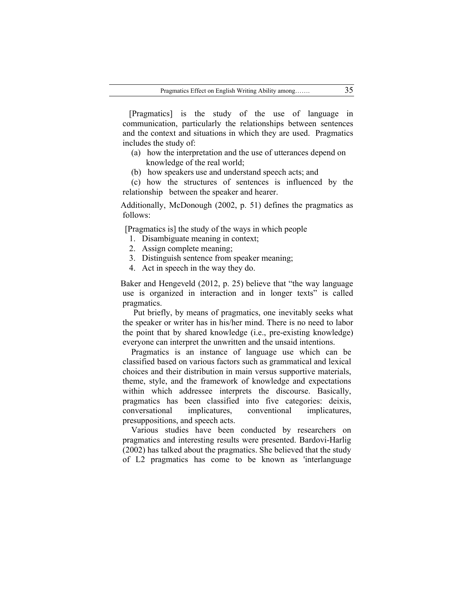[Pragmatics] is the study of the use of language in communication, particularly the relationships between sentences and the context and situations in which they are used. Pragmatics includes the study of:

- (a) how the interpretation and the use of utterances depend on knowledge of the real world;
- (b) how speakers use and understand speech acts; and

 (c) how the structures of sentences is influenced by the relationship between the speaker and hearer.

 Additionally, McDonough (2002, p. 51) defines the pragmatics as follows:

[Pragmatics is] the study of the ways in which people

- 1. Disambiguate meaning in context;
- 2. Assign complete meaning;
- 3. Distinguish sentence from speaker meaning;
- 4. Act in speech in the way they do.

 Baker and Hengeveld (2012, p. 25) believe that "the way language use is organized in interaction and in longer texts" is called pragmatics.

 Put briefly, by means of pragmatics, one inevitably seeks what the speaker or writer has in his/her mind. There is no need to labor the point that by shared knowledge (i.e., pre-existing knowledge) everyone can interpret the unwritten and the unsaid intentions.

 Pragmatics is an instance of language use which can be classified based on various factors such as grammatical and lexical choices and their distribution in main versus supportive materials, theme, style, and the framework of knowledge and expectations within which addressee interprets the discourse. Basically, pragmatics has been classified into five categories: deixis, conversational implicatures, conventional implicatures, presuppositions, and speech acts.

 Various studies have been conducted by researchers on pragmatics and interesting results were presented. Bardovi-Harlig (2002) has talked about the pragmatics. She believed that the study of L2 pragmatics has come to be known as 'interlanguage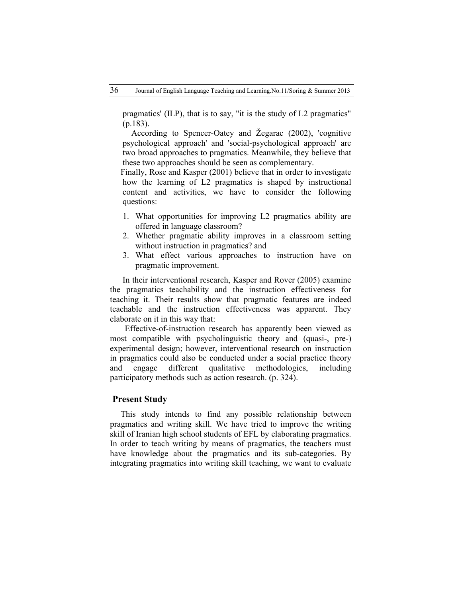pragmatics' (ILP), that is to say, "it is the study of L2 pragmatics" (p.183).

 According to Spencer-Oatey and Žegarac (2002), 'cognitive psychological approach' and 'social-psychological approach' are two broad approaches to pragmatics. Meanwhile, they believe that these two approaches should be seen as complementary.

 Finally, Rose and Kasper (2001) believe that in order to investigate how the learning of L2 pragmatics is shaped by instructional content and activities, we have to consider the following questions:

- 1. What opportunities for improving L2 pragmatics ability are offered in language classroom?
- 2. Whether pragmatic ability improves in a classroom setting without instruction in pragmatics? and
- 3. What effect various approaches to instruction have on pragmatic improvement.

In their interventional research, Kasper and Rover (2005) examine the pragmatics teachability and the instruction effectiveness for teaching it. Their results show that pragmatic features are indeed teachable and the instruction effectiveness was apparent. They elaborate on it in this way that:

Effective-of-instruction research has apparently been viewed as most compatible with psycholinguistic theory and (quasi-, pre-) experimental design; however, interventional research on instruction in pragmatics could also be conducted under a social practice theory and engage different qualitative methodologies, including participatory methods such as action research. (p. 324).

#### **Present Study**

 This study intends to find any possible relationship between pragmatics and writing skill. We have tried to improve the writing skill of Iranian high school students of EFL by elaborating pragmatics. In order to teach writing by means of pragmatics, the teachers must have knowledge about the pragmatics and its sub-categories. By integrating pragmatics into writing skill teaching, we want to evaluate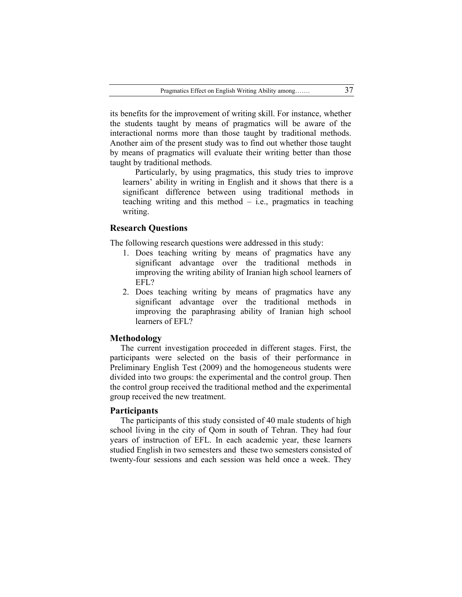its benefits for the improvement of writing skill. For instance, whether the students taught by means of pragmatics will be aware of the interactional norms more than those taught by traditional methods. Another aim of the present study was to find out whether those taught by means of pragmatics will evaluate their writing better than those taught by traditional methods.

Particularly, by using pragmatics, this study tries to improve learners' ability in writing in English and it shows that there is a significant difference between using traditional methods in teaching writing and this method – i.e., pragmatics in teaching writing.

## **Research Questions**

The following research questions were addressed in this study:

- 1. Does teaching writing by means of pragmatics have any significant advantage over the traditional methods in improving the writing ability of Iranian high school learners of EFL?
- 2. Does teaching writing by means of pragmatics have any significant advantage over the traditional methods in improving the paraphrasing ability of Iranian high school learners of EFL?

## **Methodology**

 The current investigation proceeded in different stages. First, the participants were selected on the basis of their performance in Preliminary English Test (2009) and the homogeneous students were divided into two groups: the experimental and the control group. Then the control group received the traditional method and the experimental group received the new treatment.

#### **Participants**

 The participants of this study consisted of 40 male students of high school living in the city of Qom in south of Tehran. They had four years of instruction of EFL. In each academic year, these learners studied English in two semesters and these two semesters consisted of twenty-four sessions and each session was held once a week. They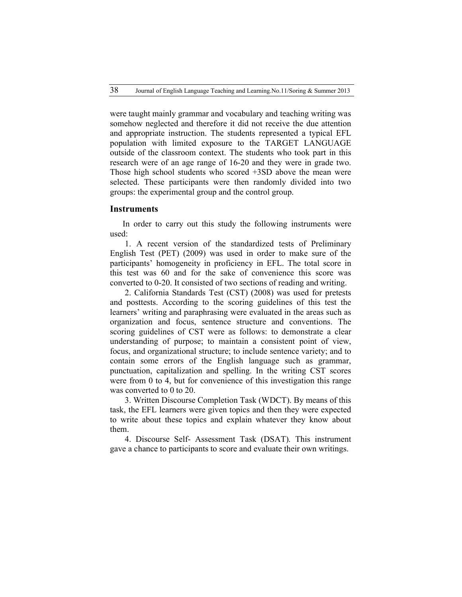were taught mainly grammar and vocabulary and teaching writing was somehow neglected and therefore it did not receive the due attention and appropriate instruction. The students represented a typical EFL population with limited exposure to the TARGET LANGUAGE outside of the classroom context. The students who took part in this research were of an age range of 16-20 and they were in grade two. Those high school students who scored +3SD above the mean were selected. These participants were then randomly divided into two groups: the experimental group and the control group.

#### **Instruments**

In order to carry out this study the following instruments were used:

1. A recent version of the standardized tests of Preliminary English Test (PET) (2009) was used in order to make sure of the participants' homogeneity in proficiency in EFL. The total score in this test was 60 and for the sake of convenience this score was converted to 0-20. It consisted of two sections of reading and writing.

2. California Standards Test (CST) (2008) was used for pretests and posttests. According to the scoring guidelines of this test the learners' writing and paraphrasing were evaluated in the areas such as organization and focus, sentence structure and conventions. The scoring guidelines of CST were as follows: to demonstrate a clear understanding of purpose; to maintain a consistent point of view, focus, and organizational structure; to include sentence variety; and to contain some errors of the English language such as grammar, punctuation, capitalization and spelling. In the writing CST scores were from 0 to 4, but for convenience of this investigation this range was converted to 0 to 20.

3. Written Discourse Completion Task (WDCT). By means of this task, the EFL learners were given topics and then they were expected to write about these topics and explain whatever they know about them.

4. Discourse Self- Assessment Task (DSAT). This instrument gave a chance to participants to score and evaluate their own writings.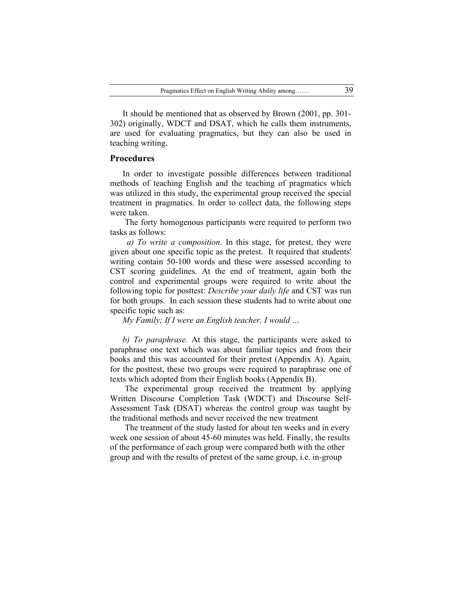It should be mentioned that as observed by Brown (2001, pp. 301- 302) originally, WDCT and DSAT, which he calls them instruments, are used for evaluating pragmatics, but they can also be used in teaching writing.

#### **Procedures**

In order to investigate possible differences between traditional methods of teaching English and the teaching of pragmatics which was utilized in this study, the experimental group received the special treatment in pragmatics. In order to collect data, the following steps were taken.

The forty homogenous participants were required to perform two tasks as follows:

 *a) To write a composition*. In this stage, for pretest, they were given about one specific topic as the pretest. It required that students' writing contain 50-100 words and these were assessed according to CST scoring guidelines. At the end of treatment, again both the control and experimental groups were required to write about the following topic for posttest: *Describe your daily life* and CST was run for both groups. In each session these students had to write about one specific topic such as:

*My Family; If I were an English teacher, I would …*

*b) To paraphrase.* At this stage, the participants were asked to paraphrase one text which was about familiar topics and from their books and this was accounted for their pretest (Appendix A). Again, for the posttest, these two groups were required to paraphrase one of texts which adopted from their English books (Appendix B).

The experimental group received the treatment by applying Written Discourse Completion Task (WDCT) and Discourse Self-Assessment Task (DSAT) whereas the control group was taught by the traditional methods and never received the new treatment

The treatment of the study lasted for about ten weeks and in every week one session of about 45-60 minutes was held. Finally, the results of the performance of each group were compared both with the other group and with the results of pretest of the same group, i.e. in-group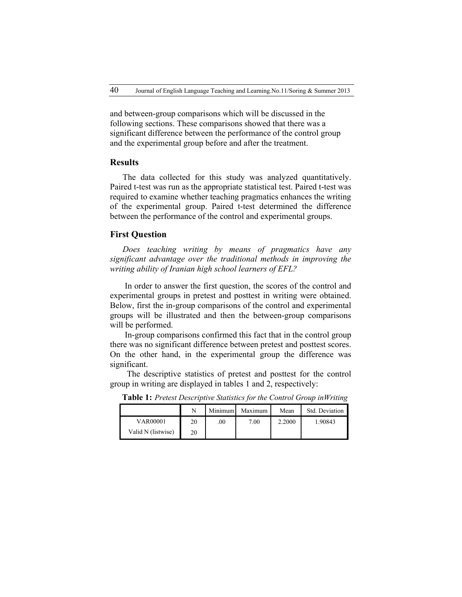and between-group comparisons which will be discussed in the following sections. These comparisons showed that there was a significant difference between the performance of the control group and the experimental group before and after the treatment.

### **Results**

The data collected for this study was analyzed quantitatively. Paired t-test was run as the appropriate statistical test. Paired t-test was required to examine whether teaching pragmatics enhances the writing of the experimental group. Paired t-test determined the difference between the performance of the control and experimental groups.

### **First Question**

*Does teaching writing by means of pragmatics have any significant advantage over the traditional methods in improving the writing ability of Iranian high school learners of EFL?*

In order to answer the first question, the scores of the control and experimental groups in pretest and posttest in writing were obtained. Below, first the in-group comparisons of the control and experimental groups will be illustrated and then the between-group comparisons will be performed.

In-group comparisons confirmed this fact that in the control group there was no significant difference between pretest and posttest scores. On the other hand, in the experimental group the difference was significant.

The descriptive statistics of pretest and posttest for the control group in writing are displayed in tables 1 and 2, respectively:

|                    | N  | Minimum | Maximum | Mean   | Std. Deviation |
|--------------------|----|---------|---------|--------|----------------|
| <b>VAR00001</b>    | 20 | .00     | 7.00    | 2.2000 | 1.90843        |
| Valid N (listwise) | 20 |         |         |        |                |

**Table 1:** *Pretest Descriptive Statistics for the Control Group inWriting*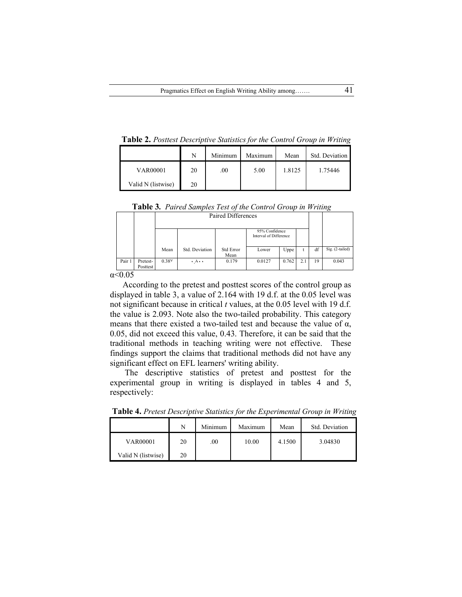**Table 2.** *Posttest Descriptive Statistics for the Control Group in Writing*

|                    | N  | Minimum  | Maximum | Mean   | Std. Deviation |
|--------------------|----|----------|---------|--------|----------------|
| <b>VAR00001</b>    | 20 | $_{.00}$ | 5.00    | 1.8125 | 1.75446        |
| Valid N (listwise) | 20 |          |         |        |                |

| Table 3. Paired Samples Test of the Control Group in Writing |  |  |  |  |  |  |
|--------------------------------------------------------------|--|--|--|--|--|--|
|--------------------------------------------------------------|--|--|--|--|--|--|

|        |                      |                   |                | Paired Differences |                                          |       |    |       |                 |
|--------|----------------------|-------------------|----------------|--------------------|------------------------------------------|-------|----|-------|-----------------|
|        |                      |                   |                |                    | 95% Confidence<br>Interval of Difference |       |    |       |                 |
|        |                      | Mean              | Std. Deviation | Std Error<br>Mean  | Uppe<br>Lower                            |       |    | df    | Sig. (2-tailed) |
| Pair 1 | Pretest-<br>Posttest | 0.38 <sup>V</sup> | ۰ ۸۰۰          | 0.179              | 0.0127                                   | 0.762 | 19 | 0.043 |                 |

According to the pretest and posttest scores of the control group as displayed in table 3, a value of 2.164 with 19 d.f. at the 0.05 level was not significant because in critical *t* values, at the 0.05 level with 19 d.f. the value is 2.093. Note also the two-tailed probability. This category means that there existed a two-tailed test and because the value of  $\alpha$ , 0.05, did not exceed this value, 0.43. Therefore, it can be said that the traditional methods in teaching writing were not effective. These findings support the claims that traditional methods did not have any significant effect on EFL learners' writing ability.

The descriptive statistics of pretest and posttest for the experimental group in writing is displayed in tables 4 and 5, respectively:

|                    | N  | Minimum | Maximum | Mean   | Std. Deviation |
|--------------------|----|---------|---------|--------|----------------|
| <b>VAR00001</b>    | 20 | .00.    | 10.00   | 4.1500 | 3.04830        |
| Valid N (listwise) | 20 |         |         |        |                |

**Table 4.** *Pretest Descriptive Statistics for the Experimental Group in Writing*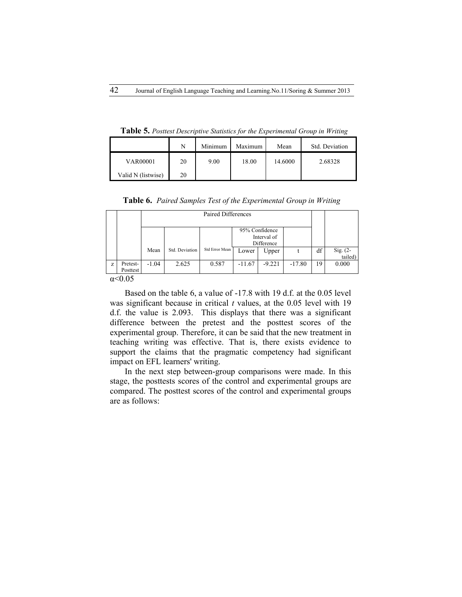|                    | N  | Minimum | Maximum | Mean    | Std. Deviation |
|--------------------|----|---------|---------|---------|----------------|
| <b>VAR00001</b>    | 20 | 9.00    | 18.00   | 14.6000 | 2.68328        |
| Valid N (listwise) | 20 |         |         |         |                |

**Table 5.** *Posttest Descriptive Statistics for the Experimental Group in Writing*

**Table 6.** *Paired Samples Test of the Experimental Group in Writing*

|   |                      |         |                | Paired Differences |                                             |          |          |    |                       |
|---|----------------------|---------|----------------|--------------------|---------------------------------------------|----------|----------|----|-----------------------|
|   |                      |         |                |                    | 95% Confidence<br>Interval of<br>Difference |          |          |    |                       |
|   |                      | Mean    | Std. Deviation | Std Error Mean     | Lower                                       | Upper    |          | df | $Sig. (2-$<br>tailed) |
| Z | Pretest-<br>Posttest | $-1.04$ | 2.625          | 0.587              | $-11.67$                                    | $-9.221$ | $-17.80$ | 19 | 0.000                 |
|   | $\sim$ 0.0 $\sigma$  |         |                |                    |                                             |          |          |    |                       |

Based on the table 6, a value of -17.8 with 19 d.f. at the 0.05 level was significant because in critical *t* values, at the 0.05 level with 19 d.f. the value is 2.093. This displays that there was a significant difference between the pretest and the posttest scores of the experimental group. Therefore, it can be said that the new treatment in teaching writing was effective. That is, there exists evidence to support the claims that the pragmatic competency had significant impact on EFL learners' writing.

In the next step between-group comparisons were made. In this stage, the posttests scores of the control and experimental groups are compared. The posttest scores of the control and experimental groups are as follows: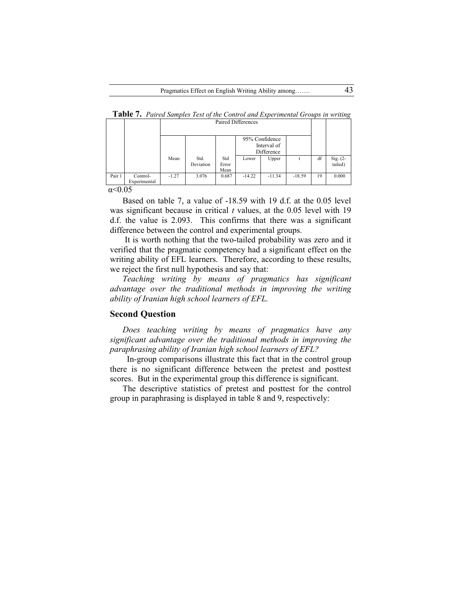|        |                          |         | Paired Differences |                      |                                             |          |          |    |                        |  |
|--------|--------------------------|---------|--------------------|----------------------|---------------------------------------------|----------|----------|----|------------------------|--|
|        |                          |         |                    |                      | 95% Confidence<br>Interval of<br>Difference |          |          |    |                        |  |
|        |                          | Mean    | Std.<br>Deviation  | Std<br>Error<br>Mean | Lower                                       | Upper    |          | df | Sig. $(2 -$<br>tailed) |  |
| Pair 1 | Control-<br>Experimental | $-1.27$ | 3.076              | 0.687                | $-14.22$                                    | $-11.34$ | $-18.59$ | 19 | 0.000                  |  |

**Table 7.** *Paired Samples Test of the Control and Experimental Groups in writing*

Based on table 7, a value of -18.59 with 19 d.f. at the 0.05 level was significant because in critical *t* values, at the 0.05 level with 19 d.f. the value is 2.093. This confirms that there was a significant difference between the control and experimental groups.

It is worth nothing that the two-tailed probability was zero and it verified that the pragmatic competency had a significant effect on the writing ability of EFL learners. Therefore, according to these results, we reject the first null hypothesis and say that:

*Teaching writing by means of pragmatics has significant advantage over the traditional methods in improving the writing ability of Iranian high school learners of EFL.*

#### **Second Question**

*Does teaching writing by means of pragmatics have any significant advantage over the traditional methods in improving the paraphrasing ability of Iranian high school learners of EFL?*

 In-group comparisons illustrate this fact that in the control group there is no significant difference between the pretest and posttest scores. But in the experimental group this difference is significant.

The descriptive statistics of pretest and posttest for the control group in paraphrasing is displayed in table 8 and 9, respectively: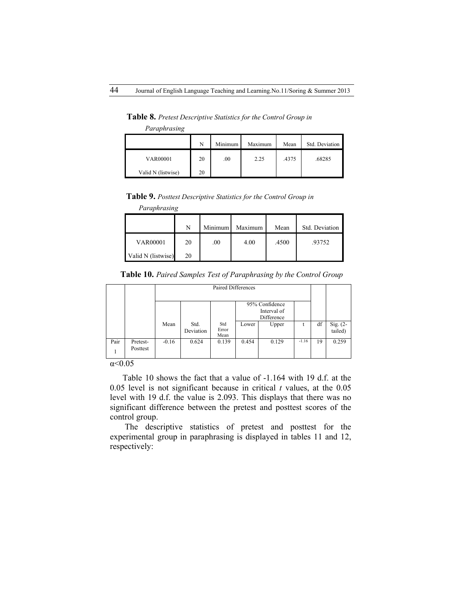**Table 8.** *Pretest Descriptive Statistics for the Control Group in* 

*Paraphrasing*

|                    | N  | Minimum | Maximum | Mean  | Std. Deviation |
|--------------------|----|---------|---------|-------|----------------|
| <b>VAR00001</b>    | 20 | .00     | 2.25    | .4375 | .68285         |
| Valid N (listwise) | 20 |         |         |       |                |

**Table 9.** *Posttest Descriptive Statistics for the Control Group in* 

|  | Paraphrasing |
|--|--------------|

|                    | N  | Minimum | Maximum | Mean  | Std. Deviation |
|--------------------|----|---------|---------|-------|----------------|
| <b>VAR00001</b>    | 20 | .00.    | 4.00    | .4500 | .93752         |
| Valid N (listwise) | 20 |         |         |       |                |

**Table 10.** *Paired Samples Test of Paraphrasing by the Control Group*

|      |                      |         | Paired Differences |                      |       |                                             |         |    |                       |  |
|------|----------------------|---------|--------------------|----------------------|-------|---------------------------------------------|---------|----|-----------------------|--|
|      |                      |         |                    |                      |       | 95% Confidence<br>Interval of<br>Difference |         |    |                       |  |
|      |                      | Mean    | Std.<br>Deviation  | Std<br>Error<br>Mean | Lower | Upper                                       |         | df | Sig. $(2-$<br>tailed) |  |
| Pair | Pretest-<br>Posttest | $-0.16$ | 0.624              | 0.139                | 0.454 | 0.129                                       | $-1.16$ | 19 | 0.259                 |  |

α<0.05

Table 10 shows the fact that a value of -1.164 with 19 d.f. at the 0.05 level is not significant because in critical *t* values, at the 0.05 level with 19 d.f. the value is 2.093. This displays that there was no significant difference between the pretest and posttest scores of the control group.

The descriptive statistics of pretest and posttest for the experimental group in paraphrasing is displayed in tables 11 and 12, respectively: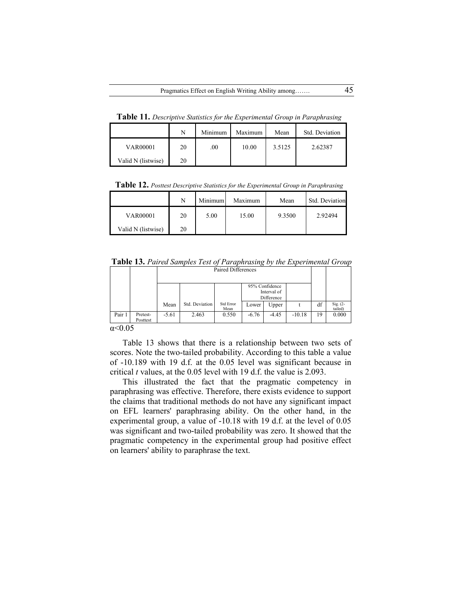**Table 11.** *Descriptive Statistics for the Experimental Group in Paraphrasing*

|                    | N  | Minimum | Maximum | Mean   | Std. Deviation |
|--------------------|----|---------|---------|--------|----------------|
| <b>VAR00001</b>    | 20 | .00.    | 10.00   | 3.5125 | 2.62387        |
| Valid N (listwise) | 20 |         |         |        |                |

**Table 12.** *Posttest Descriptive Statistics for the Experimental Group in Paraphrasing*

|                    |    | Minimum | Maximum | Mean   | Std. Deviation |
|--------------------|----|---------|---------|--------|----------------|
| <b>VAR00001</b>    | 20 | 5.00    | 15.00   | 9.3500 | 2.92494        |
| Valid N (listwise) | 20 |         |         |        |                |

**Table 13.** *Paired Samples Test of Paraphrasing by the Experimental Group*

|                            |                      | Paired Differences |                |                   |         |                                             |          |    |                        |
|----------------------------|----------------------|--------------------|----------------|-------------------|---------|---------------------------------------------|----------|----|------------------------|
|                            |                      |                    |                |                   |         | 95% Confidence<br>Interval of<br>Difference |          |    |                        |
|                            |                      | Mean               | Std. Deviation | Std Error<br>Mean | Lower   | Upper                                       |          | df | $Sig. (2 -$<br>tailed) |
| Pair 1                     | Pretest-<br>Posttest | $-5.61$            | 2.463          | 0.550             | $-6.76$ | $-4.45$                                     | $-10.18$ | 19 | 0.000                  |
| $\Omega$ $\Omega$ $\Gamma$ |                      |                    |                |                   |         |                                             |          |    |                        |

Table 13 shows that there is a relationship between two sets of scores. Note the two-tailed probability. According to this table a value of -10.189 with 19 d.f. at the 0.05 level was significant because in critical *t* values, at the 0.05 level with 19 d.f. the value is 2.093.

This illustrated the fact that the pragmatic competency in paraphrasing was effective. Therefore, there exists evidence to support the claims that traditional methods do not have any significant impact on EFL learners' paraphrasing ability. On the other hand, in the experimental group, a value of -10.18 with 19 d.f. at the level of 0.05 was significant and two-tailed probability was zero. It showed that the pragmatic competency in the experimental group had positive effect on learners' ability to paraphrase the text.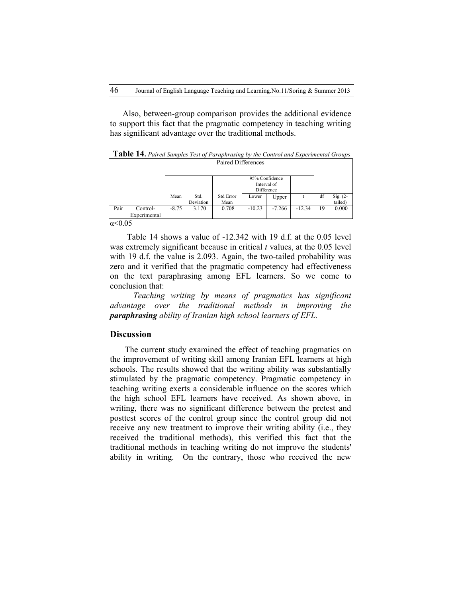Also, between-group comparison provides the additional evidence to support this fact that the pragmatic competency in teaching writing has significant advantage over the traditional methods.

|      |                          |         | Paired Differences |                   |                              |             |          |    |                        |
|------|--------------------------|---------|--------------------|-------------------|------------------------------|-------------|----------|----|------------------------|
|      |                          |         |                    |                   | 95% Confidence<br>Difference | Interval of |          |    |                        |
|      |                          | Mean    | Std.<br>Deviation  | Std Error<br>Mean | Lower                        | Upper       |          | df | Sig. $(2 -$<br>tailed) |
| Pair | Control-<br>Experimental | $-8.75$ | 3.170              | 0.708             | $-10.23$                     | $-7.266$    | $-12.34$ | 19 | 0.000                  |
|      | $\sim$ $\sim$ $\sim$     |         |                    |                   |                              |             |          |    |                        |

**Table 14.** *Paired Samples Test of Paraphrasing by the Control and Experimental Groups*

 $α < 0.05$ 

 Table 14 shows a value of -12.342 with 19 d.f. at the 0.05 level was extremely significant because in critical *t* values, at the 0.05 level with 19 d.f. the value is 2.093. Again, the two-tailed probability was zero and it verified that the pragmatic competency had effectiveness on the text paraphrasing among EFL learners. So we come to conclusion that:

 *Teaching writing by means of pragmatics has significant advantage over the traditional methods in improving the paraphrasing ability of Iranian high school learners of EFL.*

#### **Discussion**

The current study examined the effect of teaching pragmatics on the improvement of writing skill among Iranian EFL learners at high schools. The results showed that the writing ability was substantially stimulated by the pragmatic competency. Pragmatic competency in teaching writing exerts a considerable influence on the scores which the high school EFL learners have received. As shown above, in writing, there was no significant difference between the pretest and posttest scores of the control group since the control group did not receive any new treatment to improve their writing ability (i.e., they received the traditional methods), this verified this fact that the traditional methods in teaching writing do not improve the students' ability in writing. On the contrary, those who received the new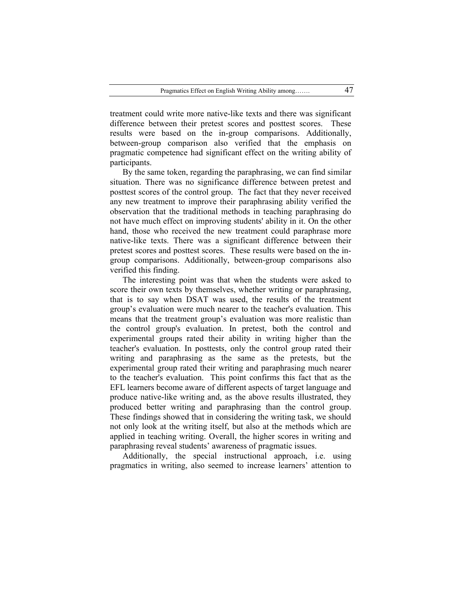treatment could write more native-like texts and there was significant difference between their pretest scores and posttest scores. These results were based on the in-group comparisons. Additionally, between-group comparison also verified that the emphasis on pragmatic competence had significant effect on the writing ability of participants.

By the same token, regarding the paraphrasing, we can find similar situation. There was no significance difference between pretest and posttest scores of the control group. The fact that they never received any new treatment to improve their paraphrasing ability verified the observation that the traditional methods in teaching paraphrasing do not have much effect on improving students' ability in it. On the other hand, those who received the new treatment could paraphrase more native-like texts. There was a significant difference between their pretest scores and posttest scores. These results were based on the ingroup comparisons. Additionally, between-group comparisons also verified this finding.

The interesting point was that when the students were asked to score their own texts by themselves, whether writing or paraphrasing, that is to say when DSAT was used, the results of the treatment group's evaluation were much nearer to the teacher's evaluation. This means that the treatment group's evaluation was more realistic than the control group's evaluation. In pretest, both the control and experimental groups rated their ability in writing higher than the teacher's evaluation. In posttests, only the control group rated their writing and paraphrasing as the same as the pretests, but the experimental group rated their writing and paraphrasing much nearer to the teacher's evaluation. This point confirms this fact that as the EFL learners become aware of different aspects of target language and produce native-like writing and, as the above results illustrated, they produced better writing and paraphrasing than the control group. These findings showed that in considering the writing task, we should not only look at the writing itself, but also at the methods which are applied in teaching writing. Overall, the higher scores in writing and paraphrasing reveal students' awareness of pragmatic issues.

Additionally, the special instructional approach, i.e. using pragmatics in writing, also seemed to increase learners' attention to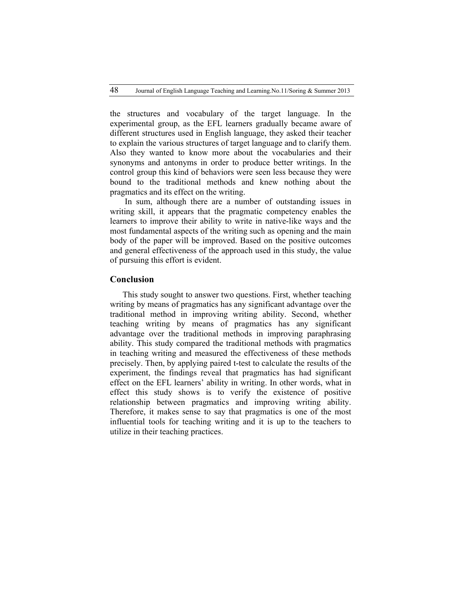the structures and vocabulary of the target language. In the experimental group, as the EFL learners gradually became aware of different structures used in English language, they asked their teacher to explain the various structures of target language and to clarify them. Also they wanted to know more about the vocabularies and their synonyms and antonyms in order to produce better writings. In the control group this kind of behaviors were seen less because they were bound to the traditional methods and knew nothing about the pragmatics and its effect on the writing.

In sum, although there are a number of outstanding issues in writing skill, it appears that the pragmatic competency enables the learners to improve their ability to write in native-like ways and the most fundamental aspects of the writing such as opening and the main body of the paper will be improved. Based on the positive outcomes and general effectiveness of the approach used in this study, the value of pursuing this effort is evident.

## **Conclusion**

This study sought to answer two questions. First, whether teaching writing by means of pragmatics has any significant advantage over the traditional method in improving writing ability. Second, whether teaching writing by means of pragmatics has any significant advantage over the traditional methods in improving paraphrasing ability. This study compared the traditional methods with pragmatics in teaching writing and measured the effectiveness of these methods precisely. Then, by applying paired t-test to calculate the results of the experiment, the findings reveal that pragmatics has had significant effect on the EFL learners' ability in writing. In other words, what in effect this study shows is to verify the existence of positive relationship between pragmatics and improving writing ability. Therefore, it makes sense to say that pragmatics is one of the most influential tools for teaching writing and it is up to the teachers to utilize in their teaching practices.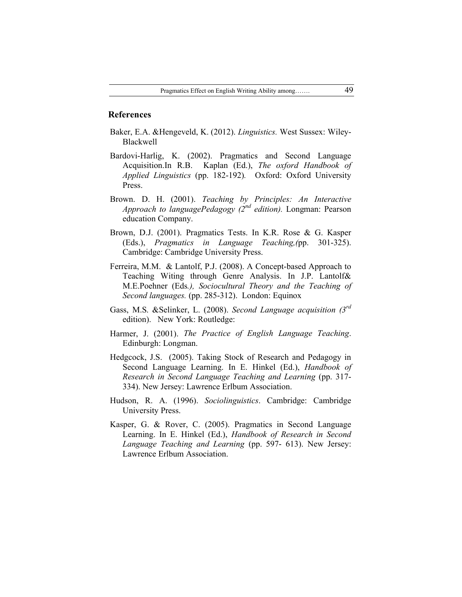### **References**

- Baker, E.A. &Hengeveld, K. (2012). *Linguistics.* West Sussex: Wiley-Blackwell
- Bardovi-Harlig, K. (2002). Pragmatics and Second Language Acquisition.In R.B. Kaplan (Ed.), *The oxford Handbook of Applied Linguistics* (pp. 182-192)*.* Oxford: Oxford University Press.
- Brown. D. H. (2001). *Teaching by Principles: An Interactive Approach to languagePedagogy (2nd edition).* Longman: Pearson education Company.
- Brown, D.J. (2001). Pragmatics Tests. In K.R. Rose & G. Kasper (Eds.), *Pragmatics in Language Teaching,(*pp. 301-325). Cambridge: Cambridge University Press.
- Ferreira, M.M. & Lantolf, P.J. (2008). A Concept-based Approach to Teaching Witing through Genre Analysis. In J.P. Lantolf& M.E.Poehner (Eds*.), Sociocultural Theory and the Teaching of Second languages.* (pp. 285-312). London: Equinox
- Gass, M.S. &Selinker, L. (2008). *Second Language acquisition (3rd* edition). New York: Routledge:
- Harmer, J. (2001). *The Practice of English Language Teaching*. Edinburgh: Longman.
- Hedgcock, J.S. (2005). Taking Stock of Research and Pedagogy in Second Language Learning. In E. Hinkel (Ed.), *Handbook of Research in Second Language Teaching and Learning* (pp. 317- 334). New Jersey: Lawrence Erlbum Association.
- Hudson, R. A. (1996). *Sociolinguistics*. Cambridge: Cambridge University Press.
- Kasper, G. & Rover, C. (2005). Pragmatics in Second Language Learning. In E. Hinkel (Ed.), *Handbook of Research in Second Language Teaching and Learning* (pp. 597- 613). New Jersey: Lawrence Erlbum Association.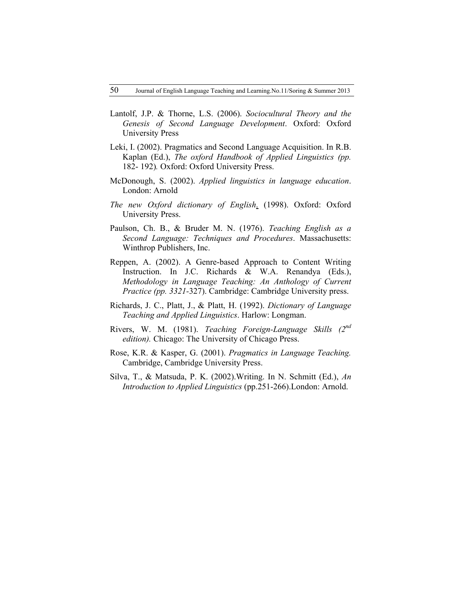- Lantolf, J.P. & Thorne, L.S. (2006). *Sociocultural Theory and the Genesis of Second Language Development*. Oxford: Oxford University Press
- Leki, I. (2002). Pragmatics and Second Language Acquisition. In R.B. Kaplan (Ed.), *The oxford Handbook of Applied Linguistics (pp.* 182- 192)*.* Oxford: Oxford University Press.
- McDonough, S. (2002). *Applied linguistics in language education*. London: Arnold
- *The new Oxford dictionary of English*. (1998). Oxford: Oxford University Press.
- Paulson, Ch. B., & Bruder M. N. (1976). *Teaching English as a Second Language: Techniques and Procedures*. Massachusetts: Winthrop Publishers, Inc.
- Reppen, A. (2002). A Genre-based Approach to Content Writing Instruction. In J.C. Richards & W.A. Renandya (Eds.), *Methodology in Language Teaching: An Anthology of Current Practice (pp. 3321-*327). Cambridge: Cambridge University press.
- Richards, J. C., Platt, J., & Platt, H. (1992). *Dictionary of Language Teaching and Applied Linguistics*. Harlow: Longman.
- Rivers, W. M. (1981). *Teaching Foreign-Language Skills (2nd edition).* Chicago: The University of Chicago Press.
- Rose, K.R. & Kasper, G. (2001). *Pragmatics in Language Teaching.* Cambridge, Cambridge University Press.
- Silva, T., & Matsuda, P. K. (2002).Writing. In N. Schmitt (Ed.), *An Introduction to Applied Linguistics* (pp.251-266).London: Arnold.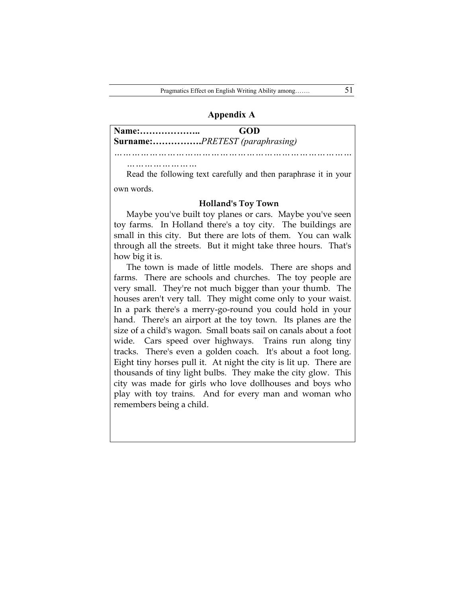### **Appendix A**

| Name: | GOD                                                              |
|-------|------------------------------------------------------------------|
|       | Surname:PRETEST (paraphrasing)                                   |
|       |                                                                  |
|       |                                                                  |
|       | Read the following text carefully and then paraphrase it in your |

and the following text carefully and then paraphrase it in own words.

#### **Holland's Toy Town**

Maybe you've built toy planes or cars. Maybe you've seen toy farms. In Holland there's a toy city. The buildings are small in this city. But there are lots of them. You can walk through all the streets. But it might take three hours. That's how big it is.

The town is made of little models. There are shops and farms. There are schools and churches. The toy people are very small. They're not much bigger than your thumb. The houses aren't very tall. They might come only to your waist. In a park there's a merry-go-round you could hold in your hand. There's an airport at the toy town. Its planes are the size of a child's wagon. Small boats sail on canals about a foot wide. Cars speed over highways. Trains run along tiny tracks. There's even a golden coach. It's about a foot long. Eight tiny horses pull it. At night the city is lit up. There are thousands of tiny light bulbs. They make the city glow. This city was made for girls who love dollhouses and boys who play with toy trains. And for every man and woman who remembers being a child.